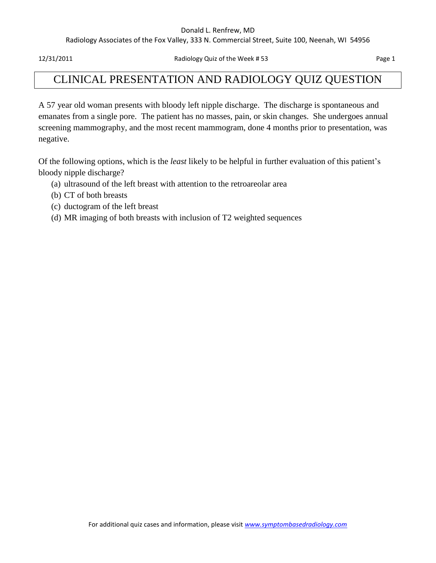#### Donald L. Renfrew, MD

Radiology Associates of the Fox Valley, 333 N. Commercial Street, Suite 100, Neenah, WI 54956

12/31/2011 Radiology Quiz of the Week # 53 Page 1

## CLINICAL PRESENTATION AND RADIOLOGY QUIZ QUESTION

A 57 year old woman presents with bloody left nipple discharge. The discharge is spontaneous and emanates from a single pore. The patient has no masses, pain, or skin changes. She undergoes annual screening mammography, and the most recent mammogram, done 4 months prior to presentation, was negative.

Of the following options, which is the *least* likely to be helpful in further evaluation of this patient's bloody nipple discharge?

- (a) ultrasound of the left breast with attention to the retroareolar area
- (b) CT of both breasts
- (c) ductogram of the left breast
- (d) MR imaging of both breasts with inclusion of T2 weighted sequences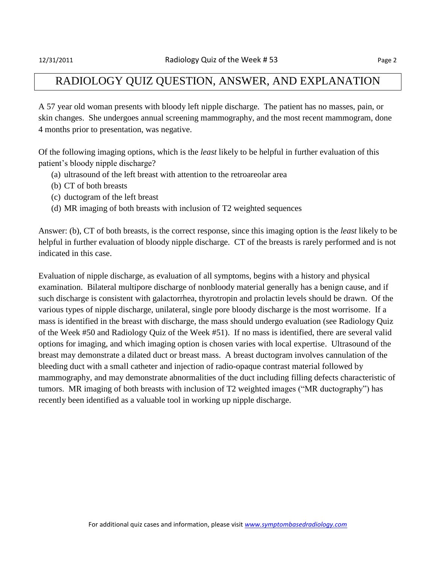#### RADIOLOGY QUIZ QUESTION, ANSWER, AND EXPLANATION

A 57 year old woman presents with bloody left nipple discharge. The patient has no masses, pain, or skin changes. She undergoes annual screening mammography, and the most recent mammogram, done 4 months prior to presentation, was negative.

Of the following imaging options, which is the *least* likely to be helpful in further evaluation of this patient's bloody nipple discharge?

- (a) ultrasound of the left breast with attention to the retroareolar area
- (b) CT of both breasts
- (c) ductogram of the left breast
- (d) MR imaging of both breasts with inclusion of T2 weighted sequences

Answer: (b), CT of both breasts, is the correct response, since this imaging option is the *least* likely to be helpful in further evaluation of bloody nipple discharge. CT of the breasts is rarely performed and is not indicated in this case.

Evaluation of nipple discharge, as evaluation of all symptoms, begins with a history and physical examination. Bilateral multipore discharge of nonbloody material generally has a benign cause, and if such discharge is consistent with galactorrhea, thyrotropin and prolactin levels should be drawn. Of the various types of nipple discharge, unilateral, single pore bloody discharge is the most worrisome. If a mass is identified in the breast with discharge, the mass should undergo evaluation (see Radiology Quiz of the Week #50 and Radiology Quiz of the Week #51). If no mass is identified, there are several valid options for imaging, and which imaging option is chosen varies with local expertise. Ultrasound of the breast may demonstrate a dilated duct or breast mass. A breast ductogram involves cannulation of the bleeding duct with a small catheter and injection of radio-opaque contrast material followed by mammography, and may demonstrate abnormalities of the duct including filling defects characteristic of tumors. MR imaging of both breasts with inclusion of T2 weighted images ("MR ductography") has recently been identified as a valuable tool in working up nipple discharge.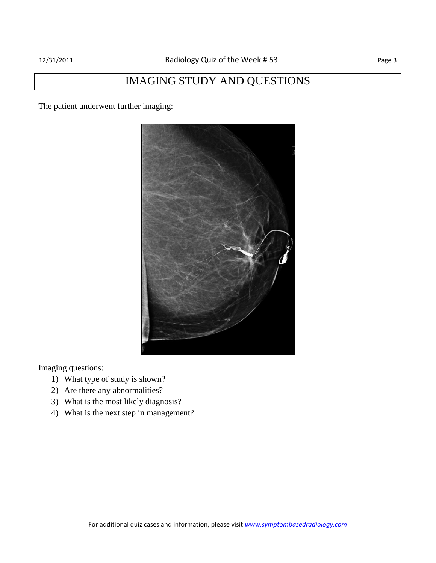# IMAGING STUDY AND QUESTIONS

The patient underwent further imaging:



Imaging questions:

- 1) What type of study is shown?
- 2) Are there any abnormalities?
- 3) What is the most likely diagnosis?
- 4) What is the next step in management?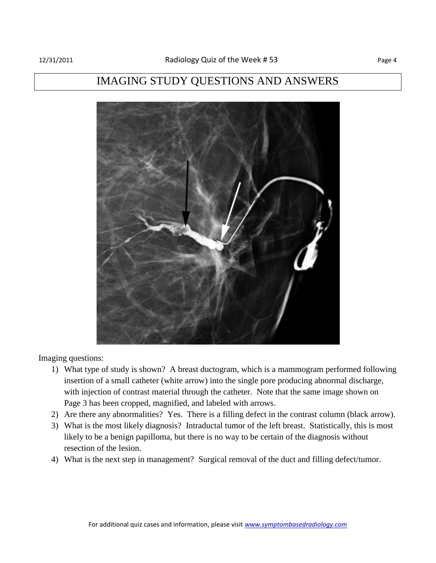### IMAGING STUDY QUESTIONS AND ANSWERS



Imaging questions:

- 1) What type of study is shown? A breast ductogram, which is a mammogram performed following insertion of a small catheter (white arrow) into the single pore producing abnormal discharge, with injection of contrast material through the catheter. Note that the same image shown on Page 3 has been cropped, magnified, and labeled with arrows.
- 2) Are there any abnormalities? Yes. There is a filling defect in the contrast column (black arrow).
- 3) What is the most likely diagnosis? Intraductal tumor of the left breast. Statistically, this is most likely to be a benign papilloma, but there is no way to be certain of the diagnosis without resection of the lesion.
- 4) What is the next step in management? Surgical removal of the duct and filling defect/tumor.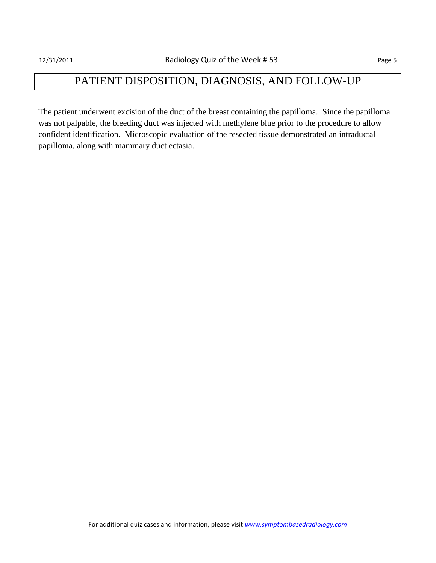## PATIENT DISPOSITION, DIAGNOSIS, AND FOLLOW-UP

The patient underwent excision of the duct of the breast containing the papilloma. Since the papilloma was not palpable, the bleeding duct was injected with methylene blue prior to the procedure to allow confident identification. Microscopic evaluation of the resected tissue demonstrated an intraductal papilloma, along with mammary duct ectasia.